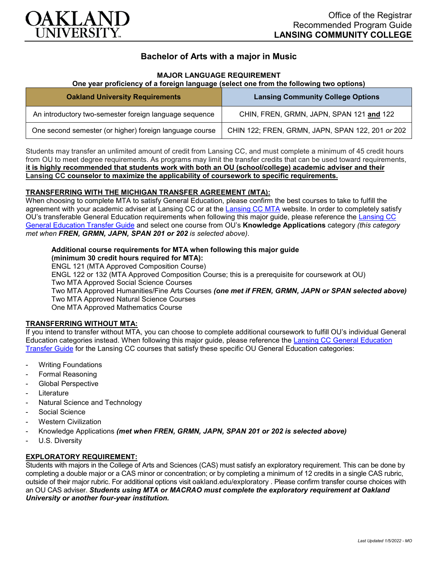

# **Bachelor of Arts with a major in Music**

## **MAJOR LANGUAGE REQUIREMENT**

## **One year proficiency of a foreign language (select one from the following two options)**

| <b>Oakland University Requirements</b>                  | <b>Lansing Community College Options</b>         |
|---------------------------------------------------------|--------------------------------------------------|
| An introductory two-semester foreign language sequence  | CHIN, FREN, GRMN, JAPN, SPAN 121 and 122         |
| One second semester (or higher) foreign language course | CHIN 122; FREN, GRMN, JAPN, SPAN 122, 201 or 202 |

Students may transfer an unlimited amount of credit from Lansing CC, and must complete a minimum of 45 credit hours from OU to meet degree requirements. As programs may limit the transfer credits that can be used toward requirements, **it is highly recommended that students work with both an OU (school/college) academic adviser and their Lansing CC counselor to maximize the applicability of coursework to specific requirements.**

### **TRANSFERRING WITH THE MICHIGAN TRANSFER AGREEMENT (MTA):**

When choosing to complete MTA to satisfy General Education, please confirm the best courses to take to fulfill the agreement with your academic adviser at Lansing CC or at the [Lansing CC MTA](https://www.lcc.edu/academics/transfer/mta.html) website. In order to completely satisfy OU's transferable General Education requirements when following this major guide, please reference the Lansing CC [General Education Transfer Guide](https://www.oakland.edu/Assets/Oakland/program-guides/lansing-community-college/university-general-education-requirements/Lansing%20Gen%20Ed.pdf) and select one course from OU's **Knowledge Applications** category *(this category met when FREN, GRMN, JAPN, SPAN 201 or 202 is selected above)*.

# **Additional course requirements for MTA when following this major guide**

**(minimum 30 credit hours required for MTA):** ENGL 121 (MTA Approved Composition Course) ENGL 122 or 132 (MTA Approved Composition Course; this is a prerequisite for coursework at OU) Two MTA Approved Social Science Courses Two MTA Approved Humanities/Fine Arts Courses *(one met if FREN, GRMN, JAPN or SPAN selected above)* Two MTA Approved Natural Science Courses One MTA Approved Mathematics Course

### **TRANSFERRING WITHOUT MTA:**

If you intend to transfer without MTA, you can choose to complete additional coursework to fulfill OU's individual General Education categories instead. When following this major guide, please reference the [Lansing CC General Education](https://www.oakland.edu/Assets/Oakland/program-guides/lansing-community-college/university-general-education-requirements/Lansing%20Gen%20Ed.pdf)  [Transfer Guide](https://www.oakland.edu/Assets/Oakland/program-guides/lansing-community-college/university-general-education-requirements/Lansing%20Gen%20Ed.pdf) for the Lansing CC courses that satisfy these specific OU General Education categories:

- **Writing Foundations**
- Formal Reasoning
- Global Perspective
- Literature
- Natural Science and Technology
- Social Science
- Western Civilization
- Knowledge Applications *(met when FREN, GRMN, JAPN, SPAN 201 or 202 is selected above)*
- U.S. Diversity

### **EXPLORATORY REQUIREMENT:**

Students with majors in the College of Arts and Sciences (CAS) must satisfy an exploratory requirement. This can be done by completing a double major or a CAS minor or concentration; or by completing a minimum of 12 credits in a single CAS rubric, outside of their major rubric. For additional options visit [oakland.edu/exploratory](http://www.oakland.edu/exploratory) . Please confirm transfer course choices with an OU CAS adviser. *Students using MTA or MACRAO must complete the exploratory requirement at Oakland University or another four-year institution.*